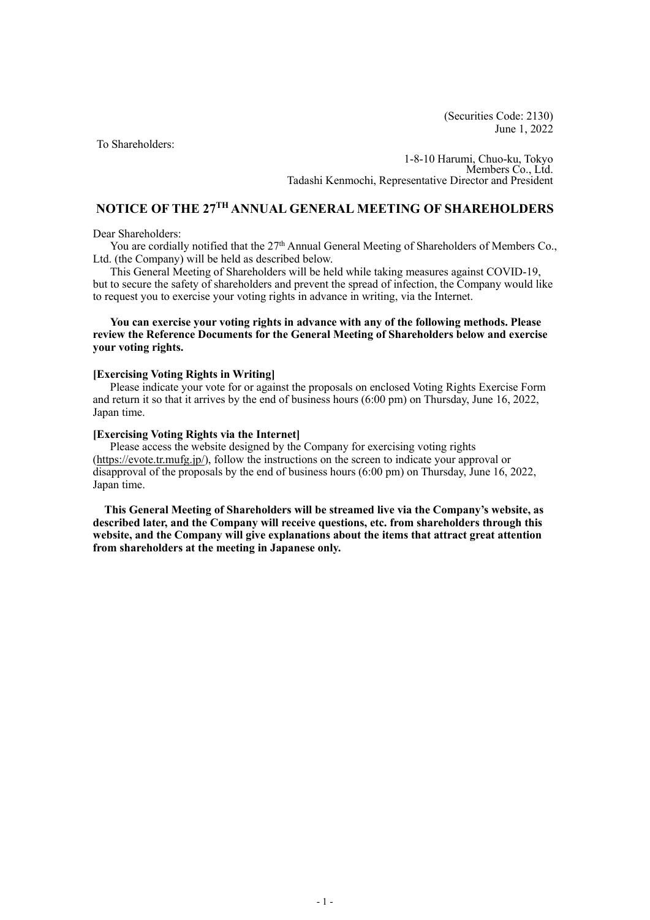(Securities Code: 2130) June 1, 2022

To Shareholders:

1-8-10 Harumi, Chuo-ku, Tokyo Members Co., Ltd. Tadashi Kenmochi, Representative Director and President

# **NOTICE OF THE 27TH ANNUAL GENERAL MEETING OF SHAREHOLDERS**

Dear Shareholders:

You are cordially notified that the 27<sup>th</sup> Annual General Meeting of Shareholders of Members Co., Ltd. (the Company) will be held as described below.

This General Meeting of Shareholders will be held while taking measures against COVID-19, but to secure the safety of shareholders and prevent the spread of infection, the Company would like to request you to exercise your voting rights in advance in writing, via the Internet.

**You can exercise your voting rights in advance with any of the following methods. Please review the Reference Documents for the General Meeting of Shareholders below and exercise your voting rights.**

### **[Exercising Voting Rights in Writing]**

Please indicate your vote for or against the proposals on enclosed Voting Rights Exercise Form and return it so that it arrives by the end of business hours (6:00 pm) on Thursday, June 16, 2022, Japan time.

### **[Exercising Voting Rights via the Internet]**

Please access the website designed by the Company for exercising voting rights [\(https://evote.tr.mufg.jp/\)](https://evote.tr.mufg.jp/), follow the instructions on the screen to indicate your approval or disapproval of the proposals by the end of business hours (6:00 pm) on Thursday, June 16, 2022, Japan time.

**This General Meeting of Shareholders will be streamed live via the Company's website, as described later, and the Company will receive questions, etc. from shareholders through this website, and the Company will give explanations about the items that attract great attention from shareholders at the meeting in Japanese only.**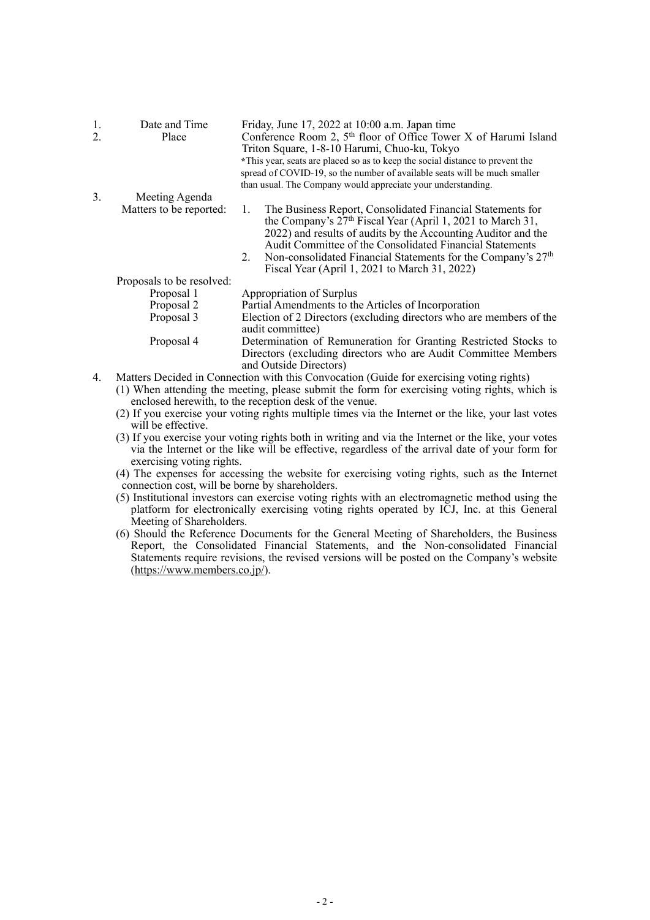| 1. | Date and Time                          | Friday, June 17, 2022 at 10:00 a.m. Japan time                                                                                                                                                                                                                                                                                                  |  |  |  |
|----|----------------------------------------|-------------------------------------------------------------------------------------------------------------------------------------------------------------------------------------------------------------------------------------------------------------------------------------------------------------------------------------------------|--|--|--|
| 2. | Place                                  | Conference Room 2, 5 <sup>th</sup> floor of Office Tower X of Harumi Island                                                                                                                                                                                                                                                                     |  |  |  |
|    |                                        | Triton Square, 1-8-10 Harumi, Chuo-ku, Tokyo                                                                                                                                                                                                                                                                                                    |  |  |  |
|    |                                        | *This year, seats are placed so as to keep the social distance to prevent the                                                                                                                                                                                                                                                                   |  |  |  |
|    |                                        | spread of COVID-19, so the number of available seats will be much smaller                                                                                                                                                                                                                                                                       |  |  |  |
|    |                                        | than usual. The Company would appreciate your understanding.                                                                                                                                                                                                                                                                                    |  |  |  |
| 3. | Meeting Agenda                         |                                                                                                                                                                                                                                                                                                                                                 |  |  |  |
|    | Matters to be reported:                | The Business Report, Consolidated Financial Statements for<br>1.<br>the Company's $27th$ Fiscal Year (April 1, 2021 to March 31,<br>2022) and results of audits by the Accounting Auditor and the<br>Audit Committee of the Consolidated Financial Statements<br>Non-consolidated Financial Statements for the Company's 27 <sup>th</sup><br>2. |  |  |  |
|    |                                        | Fiscal Year (April 1, 2021 to March 31, 2022)                                                                                                                                                                                                                                                                                                   |  |  |  |
|    | Proposals to be resolved:              |                                                                                                                                                                                                                                                                                                                                                 |  |  |  |
|    | Proposal 1                             | Appropriation of Surplus                                                                                                                                                                                                                                                                                                                        |  |  |  |
|    | Proposal 2                             | Partial Amendments to the Articles of Incorporation                                                                                                                                                                                                                                                                                             |  |  |  |
|    | Proposal 3                             | Election of 2 Directors (excluding directors who are members of the                                                                                                                                                                                                                                                                             |  |  |  |
|    |                                        | audit committee)                                                                                                                                                                                                                                                                                                                                |  |  |  |
|    | Proposal 4                             | Determination of Remuneration for Granting Restricted Stocks to<br>Directors (excluding directors who are Audit Committee Members<br>and Outside Directors)                                                                                                                                                                                     |  |  |  |
|    | $\cdot$ $\cdot$ $\sim$<br>$\mathbf{r}$ | $\sim$ $\sim$ $\sim$ $\sim$ $\sim$ $\sim$                                                                                                                                                                                                                                                                                                       |  |  |  |

- 4. Matters Decided in Connection with this Convocation (Guide for exercising voting rights) (1) When attending the meeting, please submit the form for exercising voting rights, which is
	- enclosed herewith, to the reception desk of the venue.
	- (2) If you exercise your voting rights multiple times via the Internet or the like, your last votes will be effective.
	- (3) If you exercise your voting rights both in writing and via the Internet or the like, your votes via the Internet or the like will be effective, regardless of the arrival date of your form for exercising voting rights.
	- (4) The expenses for accessing the website for exercising voting rights, such as the Internet connection cost, will be borne by shareholders.
	- (5) Institutional investors can exercise voting rights with an electromagnetic method using the platform for electronically exercising voting rights operated by ICJ, Inc. at this General Meeting of Shareholders.
	- (6) Should the Reference Documents for the General Meeting of Shareholders, the Business Report, the Consolidated Financial Statements, and the Non-consolidated Financial Statements require revisions, the revised versions will be posted on the Company's website [\(https://www.members.co.jp/\)](https://www.members.co.jp/).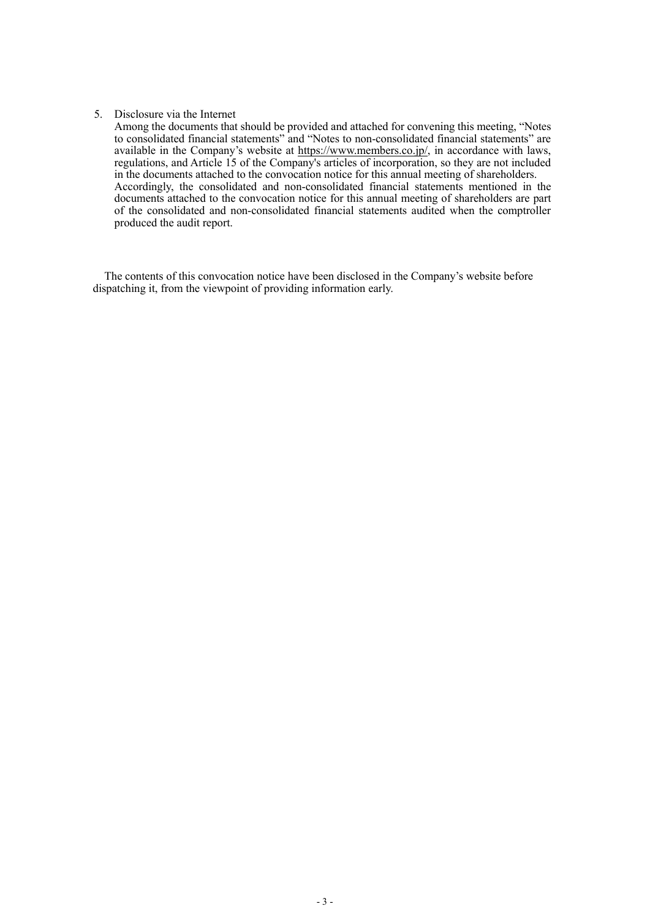### 5. Disclosure via the Internet

Among the documents that should be provided and attached for convening this meeting, "Notes to consolidated financial statements" and "Notes to non-consolidated financial statements" are available in the Company's website at [https://www.members.co.jp/,](https://www.members.co.jp/) in accordance with laws, regulations, and Article 15 of the Company's articles of incorporation, so they are not included in the documents attached to the convocation notice for this annual meeting of shareholders. Accordingly, the consolidated and non-consolidated financial statements mentioned in the documents attached to the convocation notice for this annual meeting of shareholders are part of the consolidated and non-consolidated financial statements audited when the comptroller produced the audit report.

The contents of this convocation notice have been disclosed in the Company's website before dispatching it, from the viewpoint of providing information early.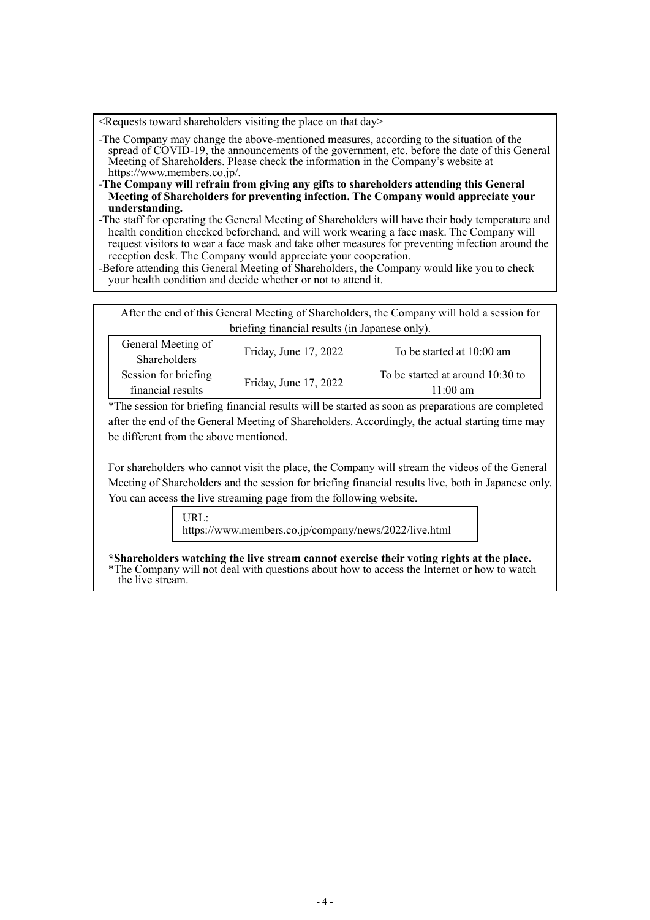<Requests toward shareholders visiting the place on that day>

- -The Company may change the above-mentioned measures, according to the situation of the spread of COVID-19, the announcements of the government, etc. before the date of this General Meeting of Shareholders. Please check the information in the Company's website at [https://www.members.co.jp/.](https://www.members.co.jp/)
- **-The Company will refrain from giving any gifts to shareholders attending this General Meeting of Shareholders for preventing infection. The Company would appreciate your understanding.**
- -The staff for operating the General Meeting of Shareholders will have their body temperature and health condition checked beforehand, and will work wearing a face mask. The Company will request visitors to wear a face mask and take other measures for preventing infection around the reception desk. The Company would appreciate your cooperation.

-Before attending this General Meeting of Shareholders, the Company would like you to check your health condition and decide whether or not to attend it.

|                                                                                                   | After the end of this General Meeting of Shareholders, the Company will hold a session for |                       |                                                               |  |  |
|---------------------------------------------------------------------------------------------------|--------------------------------------------------------------------------------------------|-----------------------|---------------------------------------------------------------|--|--|
|                                                                                                   | briefing financial results (in Japanese only).                                             |                       |                                                               |  |  |
|                                                                                                   | General Meeting of                                                                         |                       | To be started at 10:00 am<br>To be started at around 10:30 to |  |  |
|                                                                                                   | Shareholders                                                                               | Friday, June 17, 2022 |                                                               |  |  |
|                                                                                                   | Session for briefing                                                                       |                       |                                                               |  |  |
|                                                                                                   | financial results                                                                          | Friday, June 17, 2022 | $11:00 \text{ am}$                                            |  |  |
| *The session for briefing financial results will be started as soon as preparations are completed |                                                                                            |                       |                                                               |  |  |

\*The session for briefing financial results will be started as soon as preparations are completed after the end of the General Meeting of Shareholders. Accordingly, the actual starting time may be different from the above mentioned.

For shareholders who cannot visit the place, the Company will stream the videos of the General Meeting of Shareholders and the session for briefing financial results live, both in Japanese only. You can access the live streaming page from the following website.

> URL: https://www.members.co.jp/company/news/2022/live.html

**\*Shareholders watching the live stream cannot exercise their voting rights at the place.** \*The Company will not deal with questions about how to access the Internet or how to watch the live stream.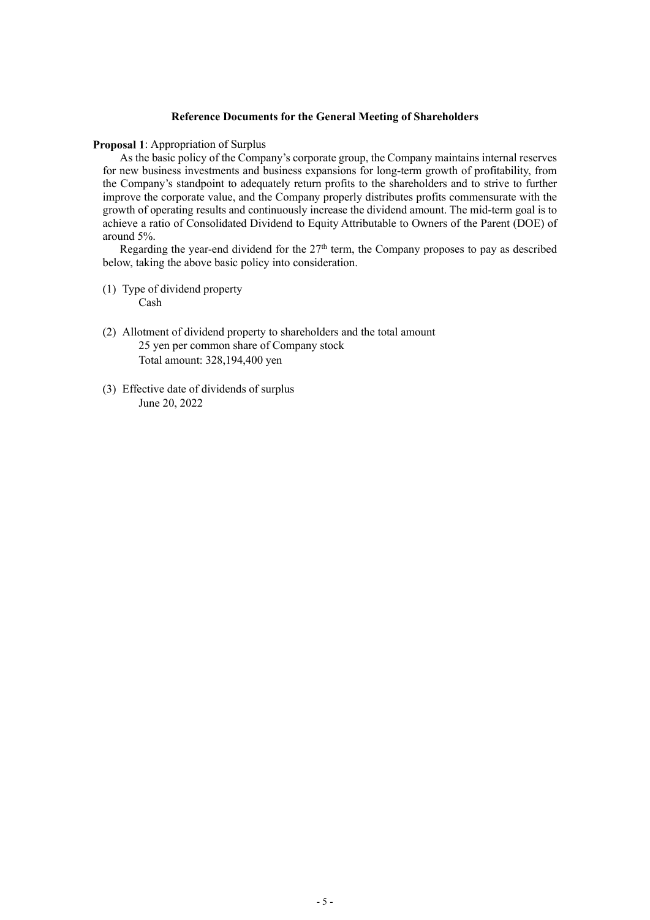### **Reference Documents for the General Meeting of Shareholders**

**Proposal 1**: Appropriation of Surplus

As the basic policy of the Company's corporate group, the Company maintains internal reserves for new business investments and business expansions for long-term growth of profitability, from the Company's standpoint to adequately return profits to the shareholders and to strive to further improve the corporate value, and the Company properly distributes profits commensurate with the growth of operating results and continuously increase the dividend amount. The mid-term goal is to achieve a ratio of Consolidated Dividend to Equity Attributable to Owners of the Parent (DOE) of around 5%.

Regarding the year-end dividend for the  $27<sup>th</sup>$  term, the Company proposes to pay as described below, taking the above basic policy into consideration.

- (1) Type of dividend property Cash
- (2) Allotment of dividend property to shareholders and the total amount 25 yen per common share of Company stock Total amount: 328,194,400 yen
- (3) Effective date of dividends of surplus June 20, 2022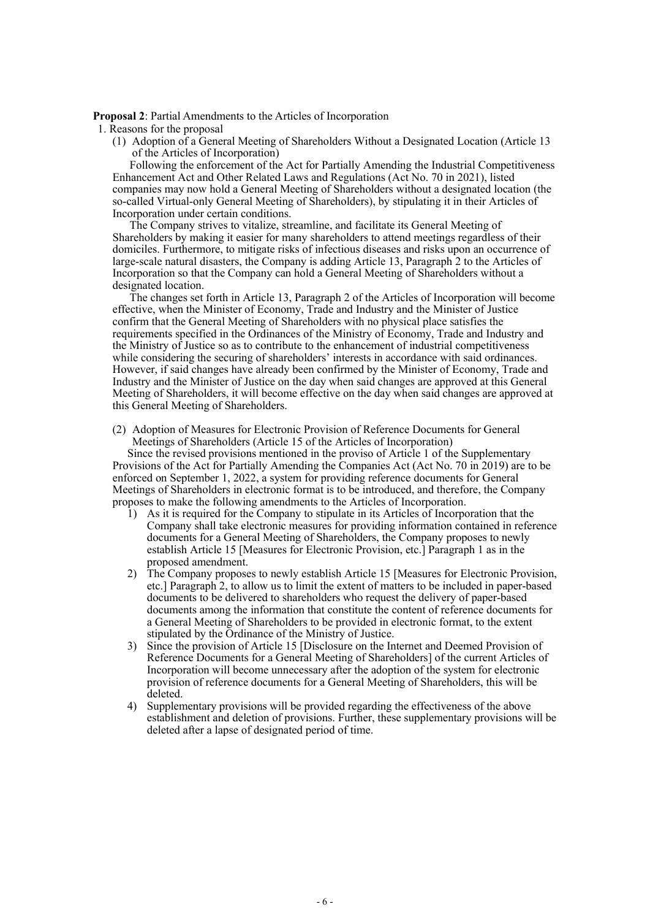### **Proposal 2**: Partial Amendments to the Articles of Incorporation

- 1. Reasons for the proposal
	- (1) Adoption of a General Meeting of Shareholders Without a Designated Location (Article 13 of the Articles of Incorporation)

Following the enforcement of the Act for Partially Amending the Industrial Competitiveness Enhancement Act and Other Related Laws and Regulations (Act No. 70 in 2021), listed companies may now hold a General Meeting of Shareholders without a designated location (the so-called Virtual-only General Meeting of Shareholders), by stipulating it in their Articles of Incorporation under certain conditions.

The Company strives to vitalize, streamline, and facilitate its General Meeting of Shareholders by making it easier for many shareholders to attend meetings regardless of their domiciles. Furthermore, to mitigate risks of infectious diseases and risks upon an occurrence of large-scale natural disasters, the Company is adding Article 13, Paragraph 2 to the Articles of Incorporation so that the Company can hold a General Meeting of Shareholders without a designated location.

The changes set forth in Article 13, Paragraph 2 of the Articles of Incorporation will become effective, when the Minister of Economy, Trade and Industry and the Minister of Justice confirm that the General Meeting of Shareholders with no physical place satisfies the requirements specified in the Ordinances of the Ministry of Economy, Trade and Industry and the Ministry of Justice so as to contribute to the enhancement of industrial competitiveness while considering the securing of shareholders' interests in accordance with said ordinances. However, if said changes have already been confirmed by the Minister of Economy, Trade and Industry and the Minister of Justice on the day when said changes are approved at this General Meeting of Shareholders, it will become effective on the day when said changes are approved at this General Meeting of Shareholders.

(2) Adoption of Measures for Electronic Provision of Reference Documents for General Meetings of Shareholders (Article 15 of the Articles of Incorporation)

Since the revised provisions mentioned in the proviso of Article 1 of the Supplementary Provisions of the Act for Partially Amending the Companies Act (Act No. 70 in 2019) are to be enforced on September 1, 2022, a system for providing reference documents for General Meetings of Shareholders in electronic format is to be introduced, and therefore, the Company proposes to make the following amendments to the Articles of Incorporation.

- 1) As it is required for the Company to stipulate in its Articles of Incorporation that the Company shall take electronic measures for providing information contained in reference documents for a General Meeting of Shareholders, the Company proposes to newly establish Article 15 [Measures for Electronic Provision, etc.] Paragraph 1 as in the proposed amendment.
- 2) The Company proposes to newly establish Article 15 [Measures for Electronic Provision, etc.] Paragraph 2, to allow us to limit the extent of matters to be included in paper-based documents to be delivered to shareholders who request the delivery of paper-based documents among the information that constitute the content of reference documents for a General Meeting of Shareholders to be provided in electronic format, to the extent stipulated by the Ordinance of the Ministry of Justice.
- 3) Since the provision of Article 15 [Disclosure on the Internet and Deemed Provision of Reference Documents for a General Meeting of Shareholders] of the current Articles of Incorporation will become unnecessary after the adoption of the system for electronic provision of reference documents for a General Meeting of Shareholders, this will be deleted.
- 4) Supplementary provisions will be provided regarding the effectiveness of the above establishment and deletion of provisions. Further, these supplementary provisions will be deleted after a lapse of designated period of time.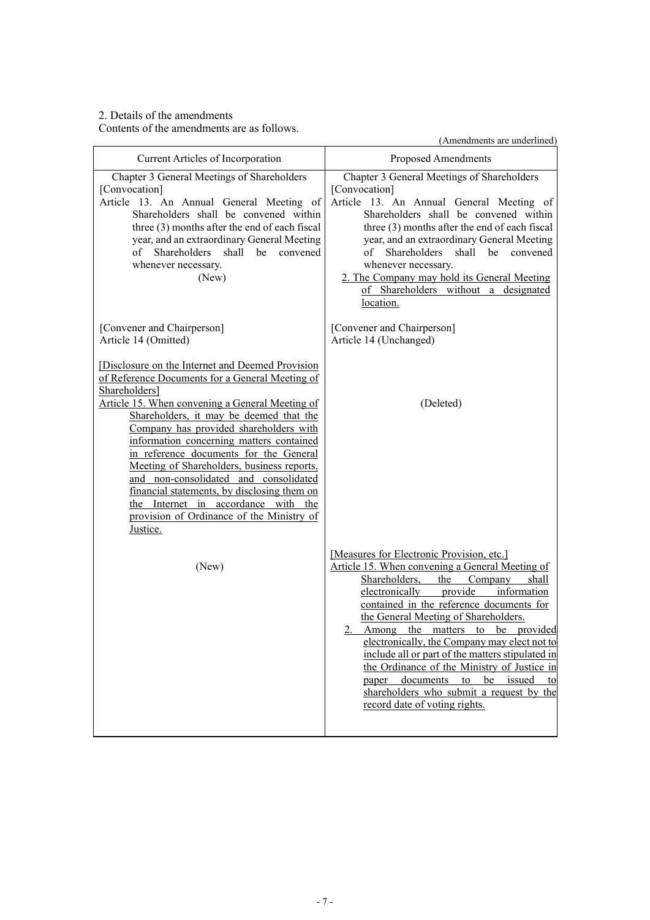# 2. Details of the amendments

Contents of the amendments are as follows.

|                                                                                                                                                                                                                                                                                                                                                                                                                                                                                                                                                                                           | (Amendments are underlined)                                                                                                                                                                                                                                                                                                                                                                                                                                                                                                                                                  |  |  |
|-------------------------------------------------------------------------------------------------------------------------------------------------------------------------------------------------------------------------------------------------------------------------------------------------------------------------------------------------------------------------------------------------------------------------------------------------------------------------------------------------------------------------------------------------------------------------------------------|------------------------------------------------------------------------------------------------------------------------------------------------------------------------------------------------------------------------------------------------------------------------------------------------------------------------------------------------------------------------------------------------------------------------------------------------------------------------------------------------------------------------------------------------------------------------------|--|--|
| Current Articles of Incorporation                                                                                                                                                                                                                                                                                                                                                                                                                                                                                                                                                         | Proposed Amendments                                                                                                                                                                                                                                                                                                                                                                                                                                                                                                                                                          |  |  |
| Chapter 3 General Meetings of Shareholders<br>[Convocation]<br>Article 13. An Annual General Meeting of<br>Shareholders shall be convened within<br>three (3) months after the end of each fiscal<br>year, and an extraordinary General Meeting<br>Shareholders shall<br>be<br>convened<br>of<br>whenever necessary.<br>(New)                                                                                                                                                                                                                                                             | Chapter 3 General Meetings of Shareholders<br>[Convocation]<br>Article 13. An Annual General Meeting of<br>Shareholders shall be convened within<br>three (3) months after the end of each fiscal<br>year, and an extraordinary General Meeting<br>Shareholders<br>shall be convened<br>of<br>whenever necessary.<br>2. The Company may hold its General Meeting<br>of Shareholders without a designated<br>location.                                                                                                                                                        |  |  |
| [Convener and Chairperson]<br>Article 14 (Omitted)                                                                                                                                                                                                                                                                                                                                                                                                                                                                                                                                        | [Convener and Chairperson]<br>Article 14 (Unchanged)                                                                                                                                                                                                                                                                                                                                                                                                                                                                                                                         |  |  |
| [Disclosure on the Internet and Deemed Provision]<br>of Reference Documents for a General Meeting of<br>Shareholders]<br>Article 15. When convening a General Meeting of<br>Shareholders, it may be deemed that the<br>Company has provided shareholders with<br>information concerning matters contained<br>in reference documents for the General<br>Meeting of Shareholders, business reports,<br>and non-consolidated and consolidated<br>financial statements, by disclosing them on<br>the Internet in accordance with the<br>provision of Ordinance of the Ministry of<br>Justice. | (Deleted)                                                                                                                                                                                                                                                                                                                                                                                                                                                                                                                                                                    |  |  |
| (New)                                                                                                                                                                                                                                                                                                                                                                                                                                                                                                                                                                                     | [Measures for Electronic Provision, etc.]<br>Article 15. When convening a General Meeting of<br>Shareholders,<br>the Company<br>shall<br>electronically provide information<br>contained in the reference documents for<br>the General Meeting of Shareholders.<br>Among the matters to be provided<br>electronically, the Company may elect not to<br>include all or part of the matters stipulated in<br>the Ordinance of the Ministry of Justice in<br>be issued<br>paper documents to<br>to<br>shareholders who submit a request by the<br>record date of voting rights. |  |  |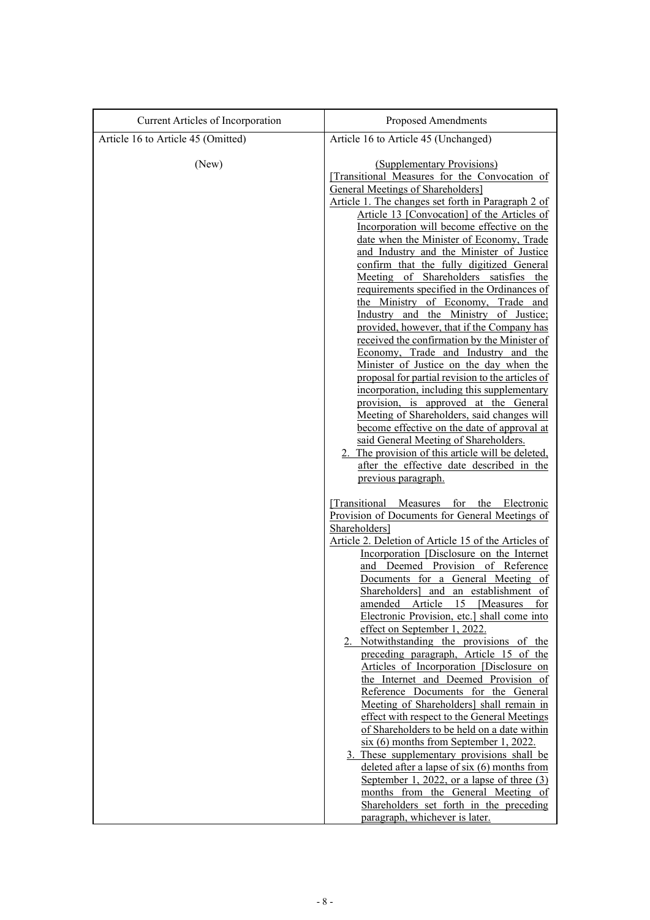| Current Articles of Incorporation  | Proposed Amendments                                                                                                                                                                                                                                                                                                                                                                                                                                                                                                                                                                                                                                                                                                                                                                                                                                                                                                                                                                                                                                                                                                                                                                                                                                                                                                                                                                            |
|------------------------------------|------------------------------------------------------------------------------------------------------------------------------------------------------------------------------------------------------------------------------------------------------------------------------------------------------------------------------------------------------------------------------------------------------------------------------------------------------------------------------------------------------------------------------------------------------------------------------------------------------------------------------------------------------------------------------------------------------------------------------------------------------------------------------------------------------------------------------------------------------------------------------------------------------------------------------------------------------------------------------------------------------------------------------------------------------------------------------------------------------------------------------------------------------------------------------------------------------------------------------------------------------------------------------------------------------------------------------------------------------------------------------------------------|
| Article 16 to Article 45 (Omitted) | Article 16 to Article 45 (Unchanged)                                                                                                                                                                                                                                                                                                                                                                                                                                                                                                                                                                                                                                                                                                                                                                                                                                                                                                                                                                                                                                                                                                                                                                                                                                                                                                                                                           |
| (New)                              | (Supplementary Provisions)<br>[Transitional Measures for the Convocation of<br>General Meetings of Shareholders]<br>Article 1. The changes set forth in Paragraph 2 of<br>Article 13 [Convocation] of the Articles of<br>Incorporation will become effective on the<br>date when the Minister of Economy, Trade<br>and Industry and the Minister of Justice<br>confirm that the fully digitized General<br>Meeting of Shareholders satisfies the<br>requirements specified in the Ordinances of<br>the Ministry of Economy, Trade and<br>Industry and the Ministry of Justice;<br>provided, however, that if the Company has<br>received the confirmation by the Minister of<br>Economy, Trade and Industry and the<br>Minister of Justice on the day when the<br>proposal for partial revision to the articles of<br>incorporation, including this supplementary<br>provision, is approved at the General<br>Meeting of Shareholders, said changes will<br>become effective on the date of approval at<br>said General Meeting of Shareholders.<br>2. The provision of this article will be deleted,<br>after the effective date described in the<br>previous paragraph.<br>Transitional Measures for the Electronic<br>Provision of Documents for General Meetings of<br>Shareholders]<br>Article 2. Deletion of Article 15 of the Articles of<br>Incorporation [Disclosure on the Internet] |
|                                    | and Deemed Provision of Reference<br>Documents for a General Meeting of<br>Shareholders] and an establishment of<br>amended Article 15 [Measures for<br>Electronic Provision, etc.] shall come into<br>effect on September 1, 2022.<br>2. Notwithstanding the provisions of the<br>preceding paragraph, Article 15 of the<br>Articles of Incorporation [Disclosure on<br>the Internet and Deemed Provision of<br>Reference Documents for the General<br>Meeting of Shareholders] shall remain in<br>effect with respect to the General Meetings<br>of Shareholders to be held on a date within<br>$six(6)$ months from September 1, 2022.<br>3. These supplementary provisions shall be<br>deleted after a lapse of six $(6)$ months from<br>September 1, 2022, or a lapse of three (3)<br>months from the General Meeting of<br>Shareholders set forth in the preceding<br>paragraph, whichever is later.                                                                                                                                                                                                                                                                                                                                                                                                                                                                                     |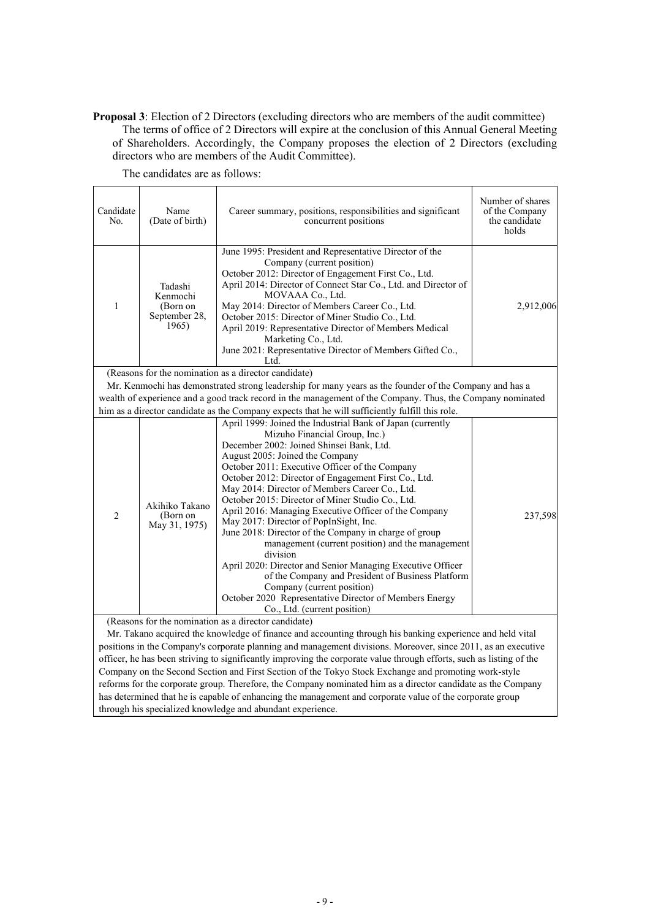**Proposal 3**: Election of 2 Directors (excluding directors who are members of the audit committee) The terms of office of 2 Directors will expire at the conclusion of this Annual General Meeting of Shareholders. Accordingly, the Company proposes the election of 2 Directors (excluding directors who are members of the Audit Committee).

| June 1995: President and Representative Director of the<br>Company (current position)<br>October 2012: Director of Engagement First Co., Ltd.<br>April 2014: Director of Connect Star Co., Ltd. and Director of<br>Tadashi<br>MOVAAA Co., Ltd.<br>Kenmochi<br>May 2014: Director of Members Career Co., Ltd.<br>2,912,006<br>1<br>(Born on<br>September 28,<br>October 2015: Director of Miner Studio Co., Ltd.<br>1965)<br>April 2019: Representative Director of Members Medical<br>Marketing Co., Ltd.<br>June 2021: Representative Director of Members Gifted Co.,<br>Ltd.<br>(Reasons for the nomination as a director candidate)<br>Mr. Kenmochi has demonstrated strong leadership for many years as the founder of the Company and has a<br>wealth of experience and a good track record in the management of the Company. Thus, the Company nominated<br>him as a director candidate as the Company expects that he will sufficiently fulfill this role.<br>April 1999: Joined the Industrial Bank of Japan (currently<br>Mizuho Financial Group, Inc.)<br>December 2002: Joined Shinsei Bank, Ltd.<br>August 2005: Joined the Company<br>October 2011: Executive Officer of the Company<br>October 2012: Director of Engagement First Co., Ltd.<br>May 2014: Director of Members Career Co., Ltd.<br>October 2015: Director of Miner Studio Co., Ltd.<br>Akihiko Takano<br>April 2016: Managing Executive Officer of the Company<br>$\overline{2}$<br>(Born on<br>237,598<br>May 2017: Director of PopInSight, Inc.<br>May 31, 1975)<br>June 2018: Director of the Company in charge of group<br>management (current position) and the management<br>division<br>April 2020: Director and Senior Managing Executive Officer<br>of the Company and President of Business Platform<br>Company (current position)<br>October 2020 Representative Director of Members Energy<br>Co., Ltd. (current position) | Candidate<br>No. | Name<br>(Date of birth) | Career summary, positions, responsibilities and significant<br>concurrent positions | Number of shares<br>of the Company<br>the candidate<br>holds |  |  |  |
|--------------------------------------------------------------------------------------------------------------------------------------------------------------------------------------------------------------------------------------------------------------------------------------------------------------------------------------------------------------------------------------------------------------------------------------------------------------------------------------------------------------------------------------------------------------------------------------------------------------------------------------------------------------------------------------------------------------------------------------------------------------------------------------------------------------------------------------------------------------------------------------------------------------------------------------------------------------------------------------------------------------------------------------------------------------------------------------------------------------------------------------------------------------------------------------------------------------------------------------------------------------------------------------------------------------------------------------------------------------------------------------------------------------------------------------------------------------------------------------------------------------------------------------------------------------------------------------------------------------------------------------------------------------------------------------------------------------------------------------------------------------------------------------------------------------------------------------------------------------------------------------------------------------------|------------------|-------------------------|-------------------------------------------------------------------------------------|--------------------------------------------------------------|--|--|--|
|                                                                                                                                                                                                                                                                                                                                                                                                                                                                                                                                                                                                                                                                                                                                                                                                                                                                                                                                                                                                                                                                                                                                                                                                                                                                                                                                                                                                                                                                                                                                                                                                                                                                                                                                                                                                                                                                                                                    |                  |                         |                                                                                     |                                                              |  |  |  |
|                                                                                                                                                                                                                                                                                                                                                                                                                                                                                                                                                                                                                                                                                                                                                                                                                                                                                                                                                                                                                                                                                                                                                                                                                                                                                                                                                                                                                                                                                                                                                                                                                                                                                                                                                                                                                                                                                                                    |                  |                         |                                                                                     |                                                              |  |  |  |
|                                                                                                                                                                                                                                                                                                                                                                                                                                                                                                                                                                                                                                                                                                                                                                                                                                                                                                                                                                                                                                                                                                                                                                                                                                                                                                                                                                                                                                                                                                                                                                                                                                                                                                                                                                                                                                                                                                                    |                  |                         |                                                                                     |                                                              |  |  |  |
|                                                                                                                                                                                                                                                                                                                                                                                                                                                                                                                                                                                                                                                                                                                                                                                                                                                                                                                                                                                                                                                                                                                                                                                                                                                                                                                                                                                                                                                                                                                                                                                                                                                                                                                                                                                                                                                                                                                    |                  |                         |                                                                                     |                                                              |  |  |  |
|                                                                                                                                                                                                                                                                                                                                                                                                                                                                                                                                                                                                                                                                                                                                                                                                                                                                                                                                                                                                                                                                                                                                                                                                                                                                                                                                                                                                                                                                                                                                                                                                                                                                                                                                                                                                                                                                                                                    |                  |                         |                                                                                     |                                                              |  |  |  |
| (Reasons for the nomination as a director candidate)                                                                                                                                                                                                                                                                                                                                                                                                                                                                                                                                                                                                                                                                                                                                                                                                                                                                                                                                                                                                                                                                                                                                                                                                                                                                                                                                                                                                                                                                                                                                                                                                                                                                                                                                                                                                                                                               |                  |                         |                                                                                     |                                                              |  |  |  |

The candidates are as follows:

(Reasons for the nomination as a director candidate)

Mr. Takano acquired the knowledge of finance and accounting through his banking experience and held vital positions in the Company's corporate planning and management divisions. Moreover, since 2011, as an executive officer, he has been striving to significantly improving the corporate value through efforts, such as listing of the Company on the Second Section and First Section of the Tokyo Stock Exchange and promoting work-style reforms for the corporate group. Therefore, the Company nominated him as a director candidate as the Company has determined that he is capable of enhancing the management and corporate value of the corporate group through his specialized knowledge and abundant experience.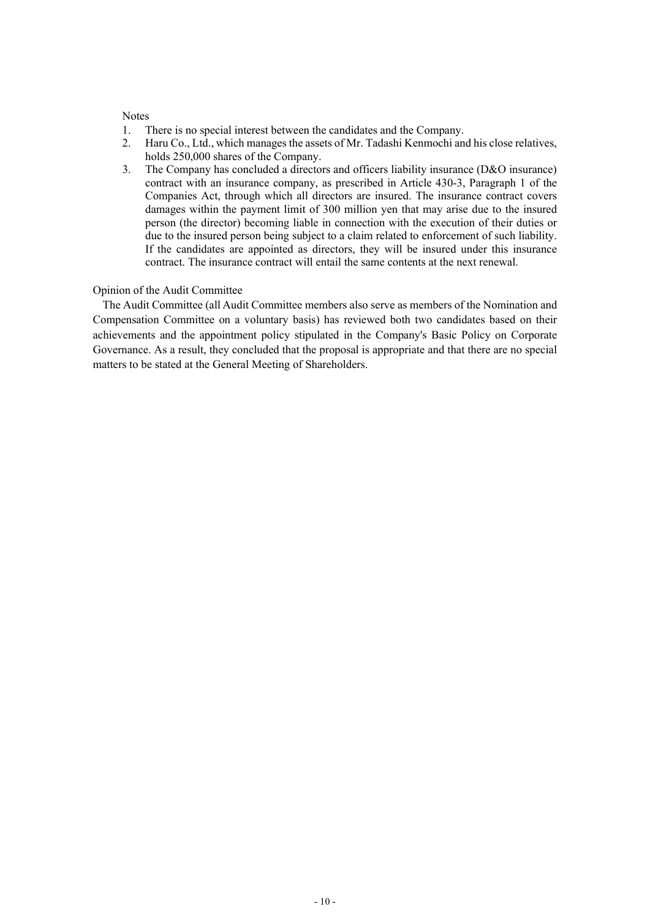### **Notes**

- 1. There is no special interest between the candidates and the Company.
- 2. Haru Co., Ltd., which manages the assets of Mr. Tadashi Kenmochi and his close relatives, holds 250,000 shares of the Company.
- 3. The Company has concluded a directors and officers liability insurance (D&O insurance) contract with an insurance company, as prescribed in Article 430-3, Paragraph 1 of the Companies Act, through which all directors are insured. The insurance contract covers damages within the payment limit of 300 million yen that may arise due to the insured person (the director) becoming liable in connection with the execution of their duties or due to the insured person being subject to a claim related to enforcement of such liability. If the candidates are appointed as directors, they will be insured under this insurance contract. The insurance contract will entail the same contents at the next renewal.

### Opinion of the Audit Committee

The Audit Committee (all Audit Committee members also serve as members of the Nomination and Compensation Committee on a voluntary basis) has reviewed both two candidates based on their achievements and the appointment policy stipulated in the Company's Basic Policy on Corporate Governance. As a result, they concluded that the proposal is appropriate and that there are no special matters to be stated at the General Meeting of Shareholders.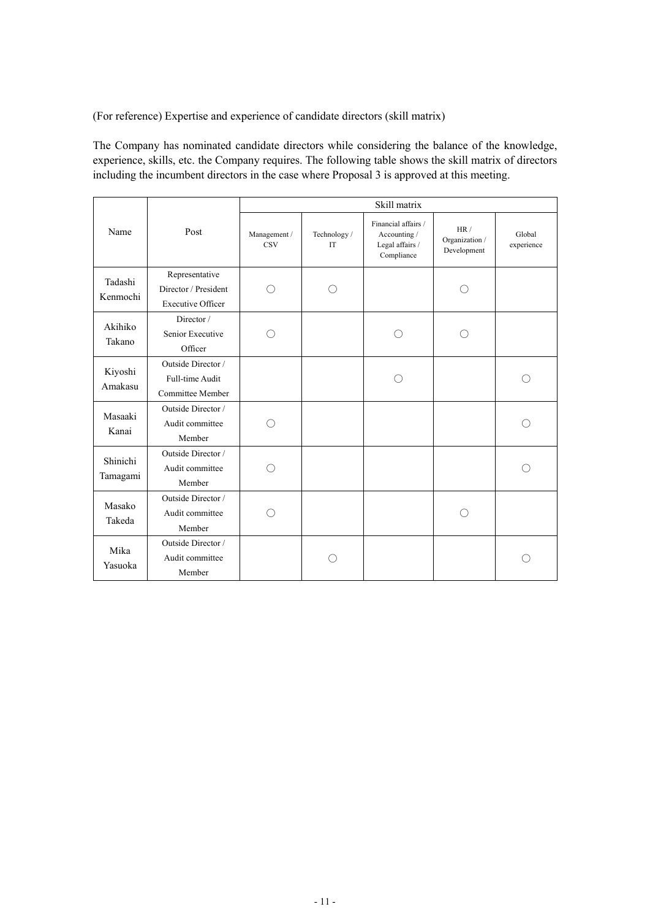(For reference) Expertise and experience of candidate directors (skill matrix)

The Company has nominated candidate directors while considering the balance of the knowledge, experience, skills, etc. the Company requires. The following table shows the skill matrix of directors including the incumbent directors in the case where Proposal 3 is approved at this meeting.

|                      | Post                                                               | Skill matrix                                  |                           |                                                                      |                                      |                      |  |
|----------------------|--------------------------------------------------------------------|-----------------------------------------------|---------------------------|----------------------------------------------------------------------|--------------------------------------|----------------------|--|
| Name                 |                                                                    | Management /<br><b>CSV</b>                    | Technology /<br><b>IT</b> | Financial affairs /<br>Accounting /<br>Legal affairs /<br>Compliance | HR/<br>Organization /<br>Development | Global<br>experience |  |
| Tadashi<br>Kenmochi  | Representative<br>Director / President<br><b>Executive Officer</b> |                                               | ( )                       |                                                                      |                                      |                      |  |
| Akihiko<br>Takano    | Director /<br>Senior Executive<br>Officer                          | О.                                            |                           | ∩                                                                    | ()                                   |                      |  |
| Kiyoshi<br>Amakasu   | Outside Director /<br>Full-time Audit<br>Committee Member          |                                               |                           | ()                                                                   |                                      | ()                   |  |
| Masaaki<br>Kanai     | Outside Director /<br>Audit committee<br>Member                    | $\left( \begin{array}{c} \end{array} \right)$ |                           |                                                                      |                                      |                      |  |
| Shinichi<br>Tamagami | Outside Director /<br>Audit committee<br>Member                    |                                               |                           |                                                                      |                                      | Ω                    |  |
| Masako<br>Takeda     | Outside Director /<br>Audit committee<br>Member                    |                                               |                           |                                                                      |                                      |                      |  |
| Mika<br>Yasuoka      | Outside Director /<br>Audit committee<br>Member                    |                                               | ()                        |                                                                      |                                      |                      |  |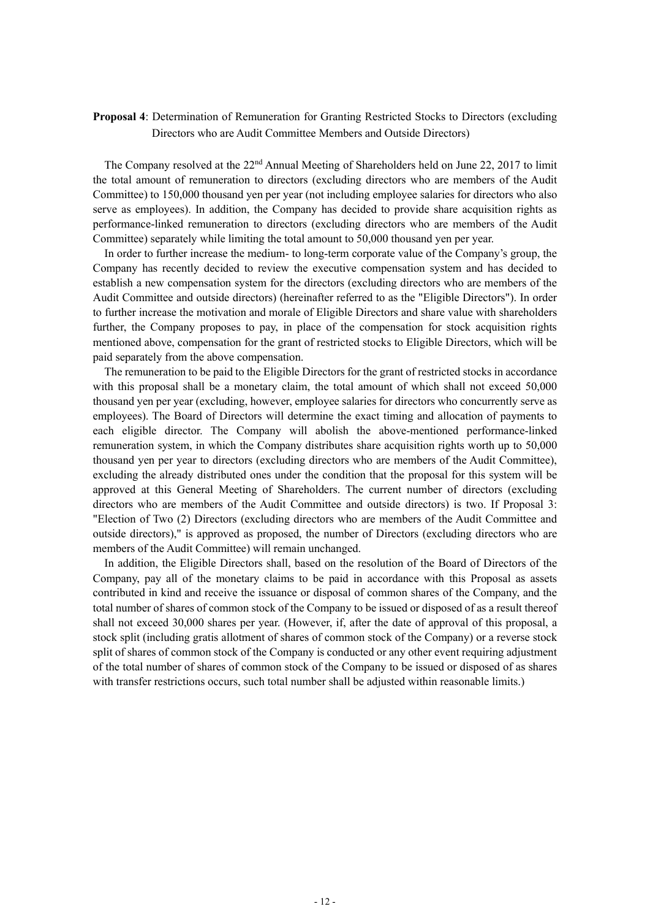## **Proposal 4**: Determination of Remuneration for Granting Restricted Stocks to Directors (excluding Directors who are Audit Committee Members and Outside Directors)

The Company resolved at the 22<sup>nd</sup> Annual Meeting of Shareholders held on June 22, 2017 to limit the total amount of remuneration to directors (excluding directors who are members of the Audit Committee) to 150,000 thousand yen per year (not including employee salaries for directors who also serve as employees). In addition, the Company has decided to provide share acquisition rights as performance-linked remuneration to directors (excluding directors who are members of the Audit Committee) separately while limiting the total amount to 50,000 thousand yen per year.

In order to further increase the medium- to long-term corporate value of the Company's group, the Company has recently decided to review the executive compensation system and has decided to establish a new compensation system for the directors (excluding directors who are members of the Audit Committee and outside directors) (hereinafter referred to as the "Eligible Directors"). In order to further increase the motivation and morale of Eligible Directors and share value with shareholders further, the Company proposes to pay, in place of the compensation for stock acquisition rights mentioned above, compensation for the grant of restricted stocks to Eligible Directors, which will be paid separately from the above compensation.

The remuneration to be paid to the Eligible Directors for the grant of restricted stocks in accordance with this proposal shall be a monetary claim, the total amount of which shall not exceed 50,000 thousand yen per year (excluding, however, employee salaries for directors who concurrently serve as employees). The Board of Directors will determine the exact timing and allocation of payments to each eligible director. The Company will abolish the above-mentioned performance-linked remuneration system, in which the Company distributes share acquisition rights worth up to 50,000 thousand yen per year to directors (excluding directors who are members of the Audit Committee), excluding the already distributed ones under the condition that the proposal for this system will be approved at this General Meeting of Shareholders. The current number of directors (excluding directors who are members of the Audit Committee and outside directors) is two. If Proposal 3: "Election of Two (2) Directors (excluding directors who are members of the Audit Committee and outside directors)," is approved as proposed, the number of Directors (excluding directors who are members of the Audit Committee) will remain unchanged.

In addition, the Eligible Directors shall, based on the resolution of the Board of Directors of the Company, pay all of the monetary claims to be paid in accordance with this Proposal as assets contributed in kind and receive the issuance or disposal of common shares of the Company, and the total number of shares of common stock of the Company to be issued or disposed of as a result thereof shall not exceed 30,000 shares per year. (However, if, after the date of approval of this proposal, a stock split (including gratis allotment of shares of common stock of the Company) or a reverse stock split of shares of common stock of the Company is conducted or any other event requiring adjustment of the total number of shares of common stock of the Company to be issued or disposed of as shares with transfer restrictions occurs, such total number shall be adjusted within reasonable limits.)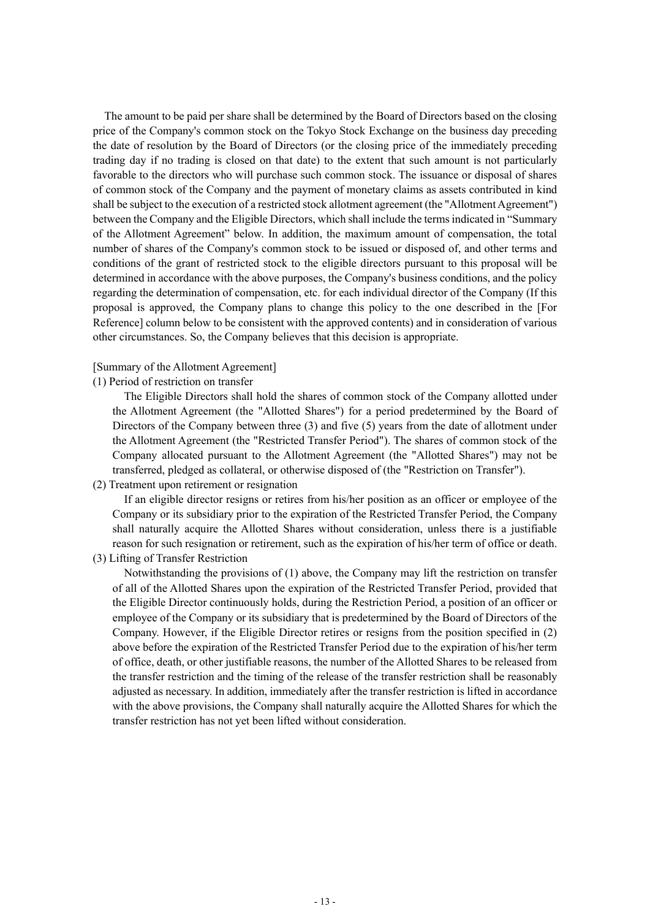The amount to be paid per share shall be determined by the Board of Directors based on the closing price of the Company's common stock on the Tokyo Stock Exchange on the business day preceding the date of resolution by the Board of Directors (or the closing price of the immediately preceding trading day if no trading is closed on that date) to the extent that such amount is not particularly favorable to the directors who will purchase such common stock. The issuance or disposal of shares of common stock of the Company and the payment of monetary claims as assets contributed in kind shall be subject to the execution of a restricted stock allotment agreement (the "Allotment Agreement") between the Company and the Eligible Directors, which shall include the terms indicated in "Summary of the Allotment Agreement" below. In addition, the maximum amount of compensation, the total number of shares of the Company's common stock to be issued or disposed of, and other terms and conditions of the grant of restricted stock to the eligible directors pursuant to this proposal will be determined in accordance with the above purposes, the Company's business conditions, and the policy regarding the determination of compensation, etc. for each individual director of the Company (If this proposal is approved, the Company plans to change this policy to the one described in the [For Reference] column below to be consistent with the approved contents) and in consideration of various other circumstances. So, the Company believes that this decision is appropriate.

### [Summary of the Allotment Agreement]

(1) Period of restriction on transfer

The Eligible Directors shall hold the shares of common stock of the Company allotted under the Allotment Agreement (the "Allotted Shares") for a period predetermined by the Board of Directors of the Company between three (3) and five (5) years from the date of allotment under the Allotment Agreement (the "Restricted Transfer Period"). The shares of common stock of the Company allocated pursuant to the Allotment Agreement (the "Allotted Shares") may not be transferred, pledged as collateral, or otherwise disposed of (the "Restriction on Transfer").

(2) Treatment upon retirement or resignation

If an eligible director resigns or retires from his/her position as an officer or employee of the Company or its subsidiary prior to the expiration of the Restricted Transfer Period, the Company shall naturally acquire the Allotted Shares without consideration, unless there is a justifiable reason for such resignation or retirement, such as the expiration of his/her term of office or death.

(3) Lifting of Transfer Restriction

Notwithstanding the provisions of (1) above, the Company may lift the restriction on transfer of all of the Allotted Shares upon the expiration of the Restricted Transfer Period, provided that the Eligible Director continuously holds, during the Restriction Period, a position of an officer or employee of the Company or its subsidiary that is predetermined by the Board of Directors of the Company. However, if the Eligible Director retires or resigns from the position specified in (2) above before the expiration of the Restricted Transfer Period due to the expiration of his/her term of office, death, or other justifiable reasons, the number of the Allotted Shares to be released from the transfer restriction and the timing of the release of the transfer restriction shall be reasonably adjusted as necessary. In addition, immediately after the transfer restriction is lifted in accordance with the above provisions, the Company shall naturally acquire the Allotted Shares for which the transfer restriction has not yet been lifted without consideration.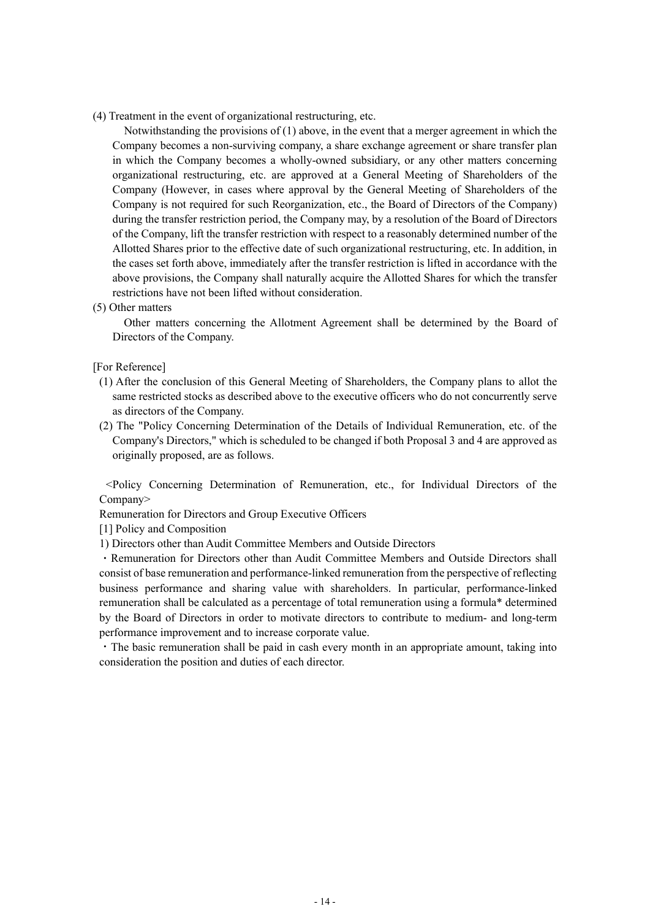(4) Treatment in the event of organizational restructuring, etc.

Notwithstanding the provisions of (1) above, in the event that a merger agreement in which the Company becomes a non-surviving company, a share exchange agreement or share transfer plan in which the Company becomes a wholly-owned subsidiary, or any other matters concerning organizational restructuring, etc. are approved at a General Meeting of Shareholders of the Company (However, in cases where approval by the General Meeting of Shareholders of the Company is not required for such Reorganization, etc., the Board of Directors of the Company) during the transfer restriction period, the Company may, by a resolution of the Board of Directors of the Company, lift the transfer restriction with respect to a reasonably determined number of the Allotted Shares prior to the effective date of such organizational restructuring, etc. In addition, in the cases set forth above, immediately after the transfer restriction is lifted in accordance with the above provisions, the Company shall naturally acquire the Allotted Shares for which the transfer restrictions have not been lifted without consideration.

(5) Other matters

Other matters concerning the Allotment Agreement shall be determined by the Board of Directors of the Company.

[For Reference]

- (1) After the conclusion of this General Meeting of Shareholders, the Company plans to allot the same restricted stocks as described above to the executive officers who do not concurrently serve as directors of the Company.
- (2) The "Policy Concerning Determination of the Details of Individual Remuneration, etc. of the Company's Directors," which is scheduled to be changed if both Proposal 3 and 4 are approved as originally proposed, are as follows.

<Policy Concerning Determination of Remuneration, etc., for Individual Directors of the Company>

Remuneration for Directors and Group Executive Officers

- [1] Policy and Composition
- 1) Directors other than Audit Committee Members and Outside Directors

・Remuneration for Directors other than Audit Committee Members and Outside Directors shall consist of base remuneration and performance-linked remuneration from the perspective of reflecting business performance and sharing value with shareholders. In particular, performance-linked remuneration shall be calculated as a percentage of total remuneration using a formula\* determined by the Board of Directors in order to motivate directors to contribute to medium- and long-term performance improvement and to increase corporate value.

・The basic remuneration shall be paid in cash every month in an appropriate amount, taking into consideration the position and duties of each director.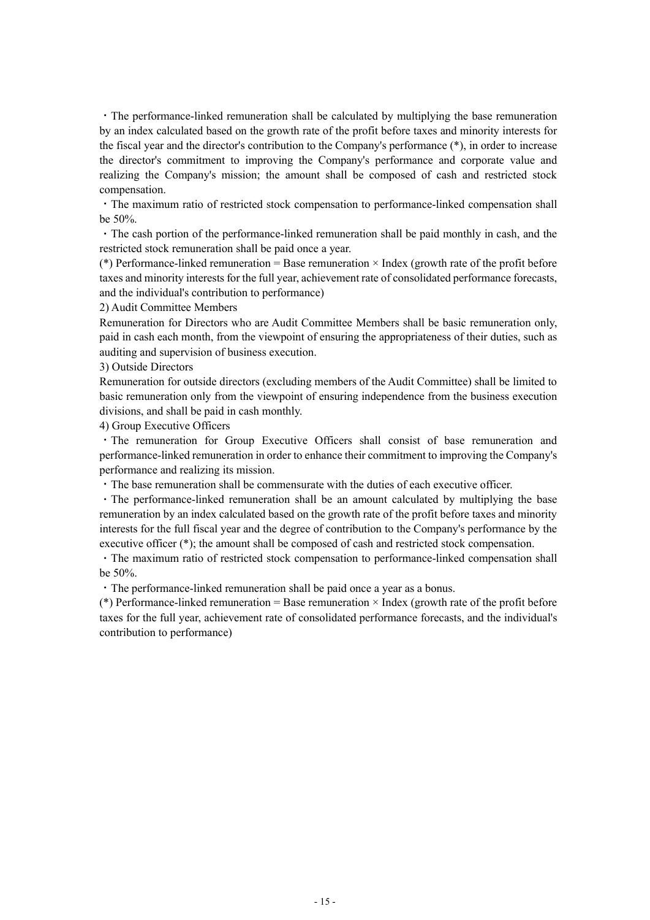・The performance-linked remuneration shall be calculated by multiplying the base remuneration by an index calculated based on the growth rate of the profit before taxes and minority interests for the fiscal year and the director's contribution to the Company's performance (\*), in order to increase the director's commitment to improving the Company's performance and corporate value and realizing the Company's mission; the amount shall be composed of cash and restricted stock compensation.

・The maximum ratio of restricted stock compensation to performance-linked compensation shall be 50%.

・The cash portion of the performance-linked remuneration shall be paid monthly in cash, and the restricted stock remuneration shall be paid once a year.

(\*) Performance-linked remuneration = Base remuneration  $\times$  Index (growth rate of the profit before taxes and minority interests for the full year, achievement rate of consolidated performance forecasts, and the individual's contribution to performance)

## 2) Audit Committee Members

Remuneration for Directors who are Audit Committee Members shall be basic remuneration only, paid in cash each month, from the viewpoint of ensuring the appropriateness of their duties, such as auditing and supervision of business execution.

3) Outside Directors

Remuneration for outside directors (excluding members of the Audit Committee) shall be limited to basic remuneration only from the viewpoint of ensuring independence from the business execution divisions, and shall be paid in cash monthly.

4) Group Executive Officers

・The remuneration for Group Executive Officers shall consist of base remuneration and performance-linked remuneration in order to enhance their commitment to improving the Company's performance and realizing its mission.

・The base remuneration shall be commensurate with the duties of each executive officer.

・The performance-linked remuneration shall be an amount calculated by multiplying the base remuneration by an index calculated based on the growth rate of the profit before taxes and minority interests for the full fiscal year and the degree of contribution to the Company's performance by the executive officer (\*); the amount shall be composed of cash and restricted stock compensation.

・The maximum ratio of restricted stock compensation to performance-linked compensation shall be 50%.

・The performance-linked remuneration shall be paid once a year as a bonus.

(\*) Performance-linked remuneration = Base remuneration  $\times$  Index (growth rate of the profit before taxes for the full year, achievement rate of consolidated performance forecasts, and the individual's contribution to performance)